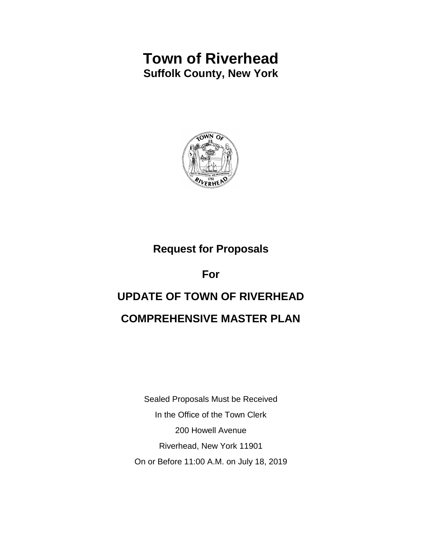# **Town of Riverhead Suffolk County, New York**



## **Request for Proposals**

**For** 

## **UPDATE OF TOWN OF RIVERHEAD**

## **COMPREHENSIVE MASTER PLAN**

Sealed Proposals Must be Received In the Office of the Town Clerk 200 Howell Avenue Riverhead, New York 11901 On or Before 11:00 A.M. on July 18, 2019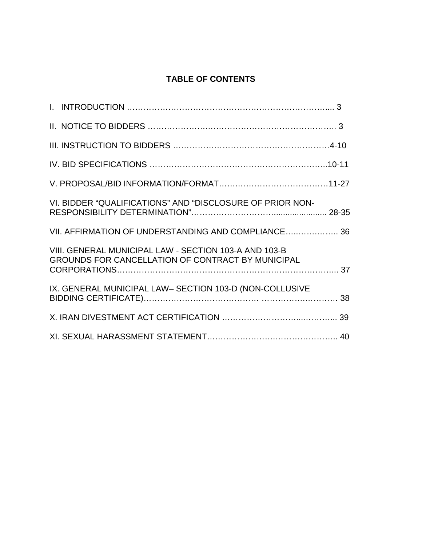## **TABLE OF CONTENTS**

| VI. BIDDER "QUALIFICATIONS" AND "DISCLOSURE OF PRIOR NON-                                                  |  |
|------------------------------------------------------------------------------------------------------------|--|
| VII. AFFIRMATION OF UNDERSTANDING AND COMPLIANCE 36                                                        |  |
| VIII. GENERAL MUNICIPAL LAW - SECTION 103-A AND 103-B<br>GROUNDS FOR CANCELLATION OF CONTRACT BY MUNICIPAL |  |
| IX. GENERAL MUNICIPAL LAW- SECTION 103-D (NON-COLLUSIVE                                                    |  |
|                                                                                                            |  |
|                                                                                                            |  |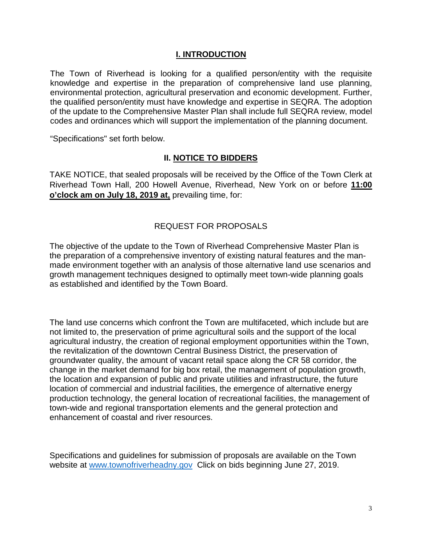#### **I. INTRODUCTION**

The Town of Riverhead is looking for a qualified person/entity with the requisite knowledge and expertise in the preparation of comprehensive land use planning, environmental protection, agricultural preservation and economic development. Further, the qualified person/entity must have knowledge and expertise in SEQRA. The adoption of the update to the Comprehensive Master Plan shall include full SEQRA review, model codes and ordinances which will support the implementation of the planning document.

"Specifications" set forth below.

#### **II. NOTICE TO BIDDERS**

TAKE NOTICE, that sealed proposals will be received by the Office of the Town Clerk at Riverhead Town Hall, 200 Howell Avenue, Riverhead, New York on or before **11:00 o'clock am on July 18, 2019 at,** prevailing time, for:

## REQUEST FOR PROPOSALS

The objective of the update to the Town of Riverhead Comprehensive Master Plan is the preparation of a comprehensive inventory of existing natural features and the manmade environment together with an analysis of those alternative land use scenarios and growth management techniques designed to optimally meet town-wide planning goals as established and identified by the Town Board.

The land use concerns which confront the Town are multifaceted, which include but are not limited to, the preservation of prime agricultural soils and the support of the local agricultural industry, the creation of regional employment opportunities within the Town, the revitalization of the downtown Central Business District, the preservation of groundwater quality, the amount of vacant retail space along the CR 58 corridor, the change in the market demand for big box retail, the management of population growth, the location and expansion of public and private utilities and infrastructure, the future location of commercial and industrial facilities, the emergence of alternative energy production technology, the general location of recreational facilities, the management of town-wide and regional transportation elements and the general protection and enhancement of coastal and river resources.

Specifications and guidelines for submission of proposals are available on the Town website at [www.townofriverheadny.gov](http://www.townofriverheadny.gov/) Click on bids beginning June 27, 2019.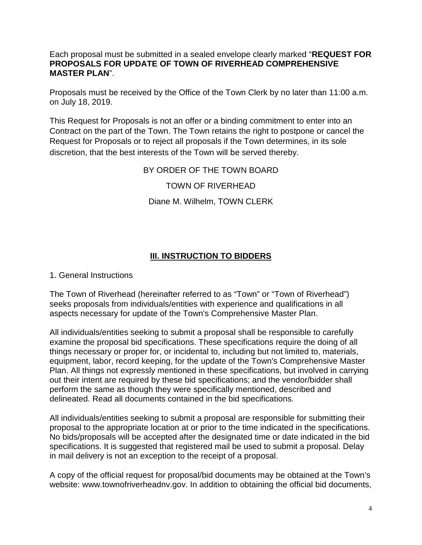## Each proposal must be submitted in a sealed envelope clearly marked "**REQUEST FOR PROPOSALS FOR UPDATE OF TOWN OF RIVERHEAD COMPREHENSIVE MASTER PLAN**".

Proposals must be received by the Office of the Town Clerk by no later than 11:00 a.m. on July 18, 2019.

This Request for Proposals is not an offer or a binding commitment to enter into an Contract on the part of the Town. The Town retains the right to postpone or cancel the Request for Proposals or to reject all proposals if the Town determines, in its sole discretion, that the best interests of the Town will be served thereby.

## BY ORDER OF THE TOWN BOARD

## TOWN OF RIVERHEAD

## Diane M. Wilhelm, TOWN CLERK

## **III. INSTRUCTION TO BIDDERS**

## 1. General Instructions

The Town of Riverhead (hereinafter referred to as "Town" or "Town of Riverhead") seeks proposals from individuals/entities with experience and qualifications in all aspects necessary for update of the Town's Comprehensive Master Plan.

All individuals/entities seeking to submit a proposal shall be responsible to carefully examine the proposal bid specifications. These specifications require the doing of all things necessary or proper for, or incidental to, including but not limited to, materials, equipment, labor, record keeping, for the update of the Town's Comprehensive Master Plan. All things not expressly mentioned in these specifications, but involved in carrying out their intent are required by these bid specifications; and the vendor/bidder shall perform the same as though they were specifically mentioned, described and delineated. Read all documents contained in the bid specifications.

All individuals/entities seeking to submit a proposal are responsible for submitting their proposal to the appropriate location at or prior to the time indicated in the specifications. No bids/proposals will be accepted after the designated time or date indicated in the bid specifications. It is suggested that registered mail be used to submit a proposal. Delay in mail delivery is not an exception to the receipt of a proposal.

A copy of the official request for proposal/bid documents may be obtained at the Town's website: www.townofriverheadnv.gov. In addition to obtaining the official bid documents,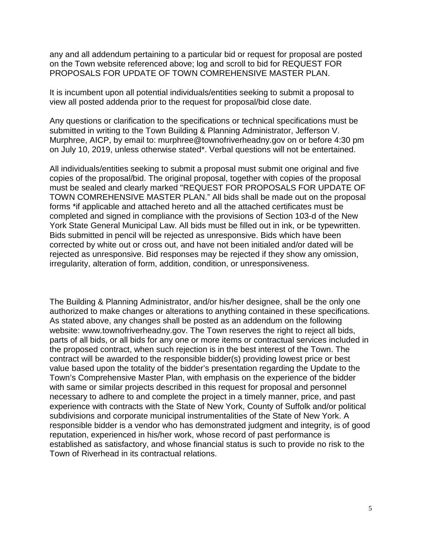any and all addendum pertaining to a particular bid or request for proposal are posted on the Town website referenced above; log and scroll to bid for REQUEST FOR PROPOSALS FOR UPDATE OF TOWN COMREHENSIVE MASTER PLAN.

It is incumbent upon all potential individuals/entities seeking to submit a proposal to view all posted addenda prior to the request for proposal/bid close date.

Any questions or clarification to the specifications or technical specifications must be submitted in writing to the Town Building & Planning Administrator, Jefferson V. Murphree, AICP, by email to: murphree@townofriverheadny.gov on or before 4:30 pm on July 10, 2019, unless otherwise stated\*. Verbal questions will not be entertained.

All individuals/entities seeking to submit a proposal must submit one original and five copies of the proposal/bid. The original proposal, together with copies of the proposal must be sealed and clearly marked "REQUEST FOR PROPOSALS FOR UPDATE OF TOWN COMREHENSIVE MASTER PLAN." All bids shall be made out on the proposal forms \*if applicable and attached hereto and all the attached certificates must be completed and signed in compliance with the provisions of Section 103-d of the New York State General Municipal Law. All bids must be filled out in ink, or be typewritten. Bids submitted in pencil will be rejected as unresponsive. Bids which have been corrected by white out or cross out, and have not been initialed and/or dated will be rejected as unresponsive. Bid responses may be rejected if they show any omission, irregularity, alteration of form, addition, condition, or unresponsiveness.

The Building & Planning Administrator, and/or his/her designee, shall be the only one authorized to make changes or alterations to anything contained in these specifications. As stated above, any changes shall be posted as an addendum on the following website: www.townofriverheadny.gov. The Town reserves the right to reject all bids, parts of all bids, or all bids for any one or more items or contractual services included in the proposed contract, when such rejection is in the best interest of the Town. The contract will be awarded to the responsible bidder(s) providing lowest price or best value based upon the totality of the bidder's presentation regarding the Update to the Town's Comprehensive Master Plan, with emphasis on the experience of the bidder with same or similar projects described in this request for proposal and personnel necessary to adhere to and complete the project in a timely manner, price, and past experience with contracts with the State of New York, County of Suffolk and/or political subdivisions and corporate municipal instrumentalities of the State of New York. A responsible bidder is a vendor who has demonstrated judgment and integrity, is of good reputation, experienced in his/her work, whose record of past performance is established as satisfactory, and whose financial status is such to provide no risk to the Town of Riverhead in its contractual relations.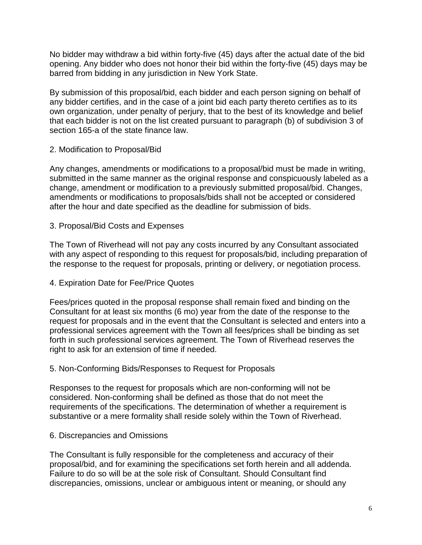No bidder may withdraw a bid within forty-five (45) days after the actual date of the bid opening. Any bidder who does not honor their bid within the forty-five (45) days may be barred from bidding in any jurisdiction in New York State.

By submission of this proposal/bid, each bidder and each person signing on behalf of any bidder certifies, and in the case of a joint bid each party thereto certifies as to its own organization, under penalty of perjury, that to the best of its knowledge and belief that each bidder is not on the list created pursuant to paragraph (b) of subdivision 3 of section 165-a of the state finance law.

## 2. Modification to Proposal/Bid

Any changes, amendments or modifications to a proposal/bid must be made in writing, submitted in the same manner as the original response and conspicuously labeled as a change, amendment or modification to a previously submitted proposal/bid. Changes, amendments or modifications to proposals/bids shall not be accepted or considered after the hour and date specified as the deadline for submission of bids.

## 3. Proposal/Bid Costs and Expenses

The Town of Riverhead will not pay any costs incurred by any Consultant associated with any aspect of responding to this request for proposals/bid, including preparation of the response to the request for proposals, printing or delivery, or negotiation process.

## 4. Expiration Date for Fee/Price Quotes

Fees/prices quoted in the proposal response shall remain fixed and binding on the Consultant for at least six months (6 mo) year from the date of the response to the request for proposals and in the event that the Consultant is selected and enters into a professional services agreement with the Town all fees/prices shall be binding as set forth in such professional services agreement. The Town of Riverhead reserves the right to ask for an extension of time if needed.

## 5. Non-Conforming Bids/Responses to Request for Proposals

Responses to the request for proposals which are non-conforming will not be considered. Non-conforming shall be defined as those that do not meet the requirements of the specifications. The determination of whether a requirement is substantive or a mere formality shall reside solely within the Town of Riverhead.

## 6. Discrepancies and Omissions

The Consultant is fully responsible for the completeness and accuracy of their proposal/bid, and for examining the specifications set forth herein and all addenda. Failure to do so will be at the sole risk of Consultant. Should Consultant find discrepancies, omissions, unclear or ambiguous intent or meaning, or should any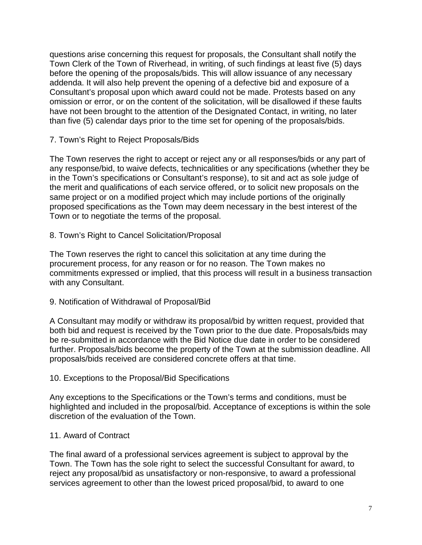questions arise concerning this request for proposals, the Consultant shall notify the Town Clerk of the Town of Riverhead, in writing, of such findings at least five (5) days before the opening of the proposals/bids. This will allow issuance of any necessary addenda. It will also help prevent the opening of a defective bid and exposure of a Consultant's proposal upon which award could not be made. Protests based on any omission or error, or on the content of the solicitation, will be disallowed if these faults have not been brought to the attention of the Designated Contact, in writing, no later than five (5) calendar days prior to the time set for opening of the proposals/bids.

## 7. Town's Right to Reject Proposals/Bids

The Town reserves the right to accept or reject any or all responses/bids or any part of any response/bid, to waive defects, technicalities or any specifications (whether they be in the Town's specifications or Consultant's response), to sit and act as sole judge of the merit and qualifications of each service offered, or to solicit new proposals on the same project or on a modified project which may include portions of the originally proposed specifications as the Town may deem necessary in the best interest of the Town or to negotiate the terms of the proposal.

8. Town's Right to Cancel Solicitation/Proposal

The Town reserves the right to cancel this solicitation at any time during the procurement process, for any reason or for no reason. The Town makes no commitments expressed or implied, that this process will result in a business transaction with any Consultant.

## 9. Notification of Withdrawal of Proposal/Bid

A Consultant may modify or withdraw its proposal/bid by written request, provided that both bid and request is received by the Town prior to the due date. Proposals/bids may be re-submitted in accordance with the Bid Notice due date in order to be considered further. Proposals/bids become the property of the Town at the submission deadline. All proposals/bids received are considered concrete offers at that time.

## 10. Exceptions to the Proposal/Bid Specifications

Any exceptions to the Specifications or the Town's terms and conditions, must be highlighted and included in the proposal/bid. Acceptance of exceptions is within the sole discretion of the evaluation of the Town.

## 11. Award of Contract

The final award of a professional services agreement is subject to approval by the Town. The Town has the sole right to select the successful Consultant for award, to reject any proposal/bid as unsatisfactory or non-responsive, to award a professional services agreement to other than the lowest priced proposal/bid, to award to one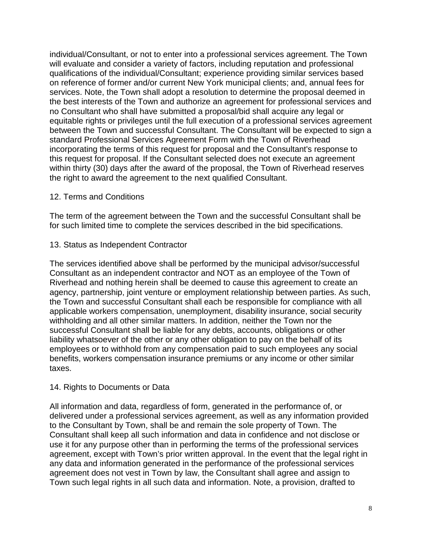individual/Consultant, or not to enter into a professional services agreement. The Town will evaluate and consider a variety of factors, including reputation and professional qualifications of the individual/Consultant; experience providing similar services based on reference of former and/or current New York municipal clients; and, annual fees for services. Note, the Town shall adopt a resolution to determine the proposal deemed in the best interests of the Town and authorize an agreement for professional services and no Consultant who shall have submitted a proposal/bid shall acquire any legal or equitable rights or privileges until the full execution of a professional services agreement between the Town and successful Consultant. The Consultant will be expected to sign a standard Professional Services Agreement Form with the Town of Riverhead incorporating the terms of this request for proposal and the Consultant's response to this request for proposal. If the Consultant selected does not execute an agreement within thirty (30) days after the award of the proposal, the Town of Riverhead reserves the right to award the agreement to the next qualified Consultant.

## 12. Terms and Conditions

The term of the agreement between the Town and the successful Consultant shall be for such limited time to complete the services described in the bid specifications.

13. Status as Independent Contractor

The services identified above shall be performed by the municipal advisor/successful Consultant as an independent contractor and NOT as an employee of the Town of Riverhead and nothing herein shall be deemed to cause this agreement to create an agency, partnership, joint venture or employment relationship between parties. As such, the Town and successful Consultant shall each be responsible for compliance with all applicable workers compensation, unemployment, disability insurance, social security withholding and all other similar matters. In addition, neither the Town nor the successful Consultant shall be liable for any debts, accounts, obligations or other liability whatsoever of the other or any other obligation to pay on the behalf of its employees or to withhold from any compensation paid to such employees any social benefits, workers compensation insurance premiums or any income or other similar taxes.

## 14. Rights to Documents or Data

All information and data, regardless of form, generated in the performance of, or delivered under a professional services agreement, as well as any information provided to the Consultant by Town, shall be and remain the sole property of Town. The Consultant shall keep all such information and data in confidence and not disclose or use it for any purpose other than in performing the terms of the professional services agreement, except with Town's prior written approval. In the event that the legal right in any data and information generated in the performance of the professional services agreement does not vest in Town by law, the Consultant shall agree and assign to Town such legal rights in all such data and information. Note, a provision, drafted to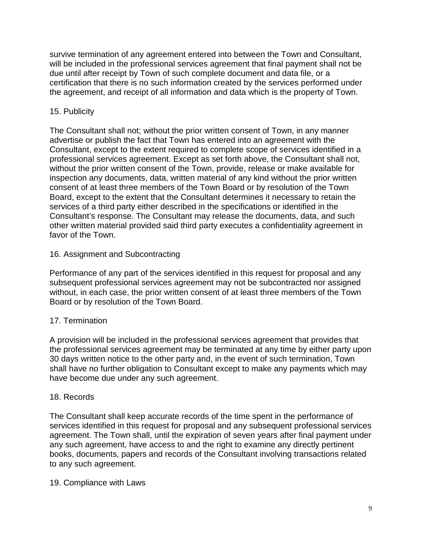survive termination of any agreement entered into between the Town and Consultant, will be included in the professional services agreement that final payment shall not be due until after receipt by Town of such complete document and data file, or a certification that there is no such information created by the services performed under the agreement, and receipt of all information and data which is the property of Town.

## 15. Publicity

The Consultant shall not; without the prior written consent of Town, in any manner advertise or publish the fact that Town has entered into an agreement with the Consultant, except to the extent required to complete scope of services identified in a professional services agreement. Except as set forth above, the Consultant shall not, without the prior written consent of the Town, provide, release or make available for inspection any documents, data, written material of any kind without the prior written consent of at least three members of the Town Board or by resolution of the Town Board, except to the extent that the Consultant determines it necessary to retain the services of a third party either described in the specifications or identified in the Consultant's response. The Consultant may release the documents, data, and such other written material provided said third party executes a confidentiality agreement in favor of the Town.

## 16. Assignment and Subcontracting

Performance of any part of the services identified in this request for proposal and any subsequent professional services agreement may not be subcontracted nor assigned without, in each case, the prior written consent of at least three members of the Town Board or by resolution of the Town Board.

## 17. Termination

A provision will be included in the professional services agreement that provides that the professional services agreement may be terminated at any time by either party upon 30 days written notice to the other party and, in the event of such termination, Town shall have no further obligation to Consultant except to make any payments which may have become due under any such agreement.

## 18. Records

The Consultant shall keep accurate records of the time spent in the performance of services identified in this request for proposal and any subsequent professional services agreement. The Town shall, until the expiration of seven years after final payment under any such agreement, have access to and the right to examine any directly pertinent books, documents, papers and records of the Consultant involving transactions related to any such agreement.

## 19. Compliance with Laws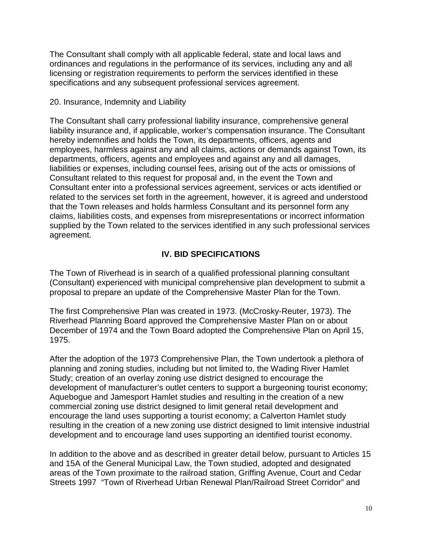The Consultant shall comply with all applicable federal, state and local laws and ordinances and regulations in the performance of its services, including any and all licensing or registration requirements to perform the services identified in these specifications and any subsequent professional services agreement.

## 20. Insurance, Indemnity and Liability

The Consultant shall carry professional liability insurance, comprehensive general liability insurance and, if applicable, worker's compensation insurance. The Consultant hereby indemnifies and holds the Town, its departments, officers, agents and employees, harmless against any and all claims, actions or demands against Town, its departments, officers, agents and employees and against any and all damages, liabilities or expenses, including counsel fees, arising out of the acts or omissions of Consultant related to this request for proposal and, in the event the Town and Consultant enter into a professional services agreement, services or acts identified or related to the services set forth in the agreement, however, it is agreed and understood that the Town releases and holds harmless Consultant and its personnel form any claims, liabilities costs, and expenses from misrepresentations or incorrect information supplied by the Town related to the services identified in any such professional services agreement.

## **IV. BID SPECIFICATIONS**

The Town of Riverhead is in search of a qualified professional planning consultant (Consultant) experienced with municipal comprehensive plan development to submit a proposal to prepare an update of the Comprehensive Master Plan for the Town.

The first Comprehensive Plan was created in 1973. (McCrosky-Reuter, 1973). The Riverhead Planning Board approved the Comprehensive Master Plan on or about December of 1974 and the Town Board adopted the Comprehensive Plan on April 15, 1975.

After the adoption of the 1973 Comprehensive Plan, the Town undertook a plethora of planning and zoning studies, including but not limited to, the Wading River Hamlet Study; creation of an overlay zoning use district designed to encourage the development of manufacturer's outlet centers to support a burgeoning tourist economy; Aquebogue and Jamesport Hamlet studies and resulting in the creation of a new commercial zoning use district designed to limit general retail development and encourage the land uses supporting a tourist economy; a Calverton Hamlet study resulting in the creation of a new zoning use district designed to limit intensive industrial development and to encourage land uses supporting an identified tourist economy.

In addition to the above and as described in greater detail below, pursuant to Articles 15 and 15A of the General Municipal Law, the Town studied, adopted and designated areas of the Town proximate to the railroad station, Griffing Avenue, Court and Cedar Streets 1997 "Town of Riverhead Urban Renewal Plan/Railroad Street Corridor" and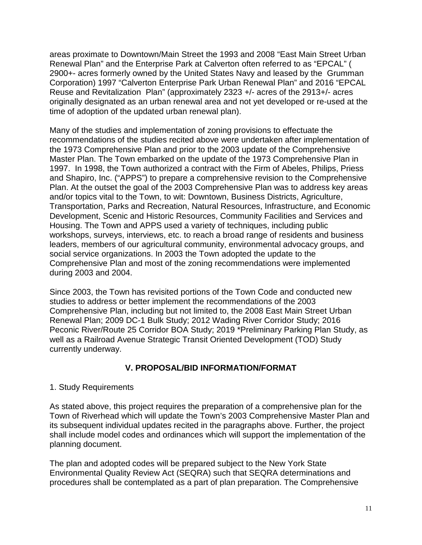areas proximate to Downtown/Main Street the 1993 and 2008 "East Main Street Urban Renewal Plan" and the Enterprise Park at Calverton often referred to as "EPCAL" ( 2900+- acres formerly owned by the United States Navy and leased by the Grumman Corporation) 1997 "Calverton Enterprise Park Urban Renewal Plan" and 2016 "EPCAL Reuse and Revitalization Plan" (approximately 2323 +/- acres of the 2913+/- acres originally designated as an urban renewal area and not yet developed or re-used at the time of adoption of the updated urban renewal plan).

Many of the studies and implementation of zoning provisions to effectuate the recommendations of the studies recited above were undertaken after implementation of the 1973 Comprehensive Plan and prior to the 2003 update of the Comprehensive Master Plan. The Town embarked on the update of the 1973 Comprehensive Plan in 1997. In 1998, the Town authorized a contract with the Firm of Abeles, Philips, Priess and Shapiro, Inc. ("APPS") to prepare a comprehensive revision to the Comprehensive Plan. At the outset the goal of the 2003 Comprehensive Plan was to address key areas and/or topics vital to the Town, to wit: Downtown, Business Districts, Agriculture, Transportation, Parks and Recreation, Natural Resources, Infrastructure, and Economic Development, Scenic and Historic Resources, Community Facilities and Services and Housing. The Town and APPS used a variety of techniques, including public workshops, surveys, interviews, etc. to reach a broad range of residents and business leaders, members of our agricultural community, environmental advocacy groups, and social service organizations. In 2003 the Town adopted the update to the Comprehensive Plan and most of the zoning recommendations were implemented during 2003 and 2004.

Since 2003, the Town has revisited portions of the Town Code and conducted new studies to address or better implement the recommendations of the 2003 Comprehensive Plan, including but not limited to, the 2008 East Main Street Urban Renewal Plan; 2009 DC-1 Bulk Study; 2012 Wading River Corridor Study; 2016 Peconic River/Route 25 Corridor BOA Study; 2019 \*Preliminary Parking Plan Study, as well as a Railroad Avenue Strategic Transit Oriented Development (TOD) Study currently underway.

## **V. PROPOSAL/BID INFORMATION/FORMAT**

## 1. Study Requirements

As stated above, this project requires the preparation of a comprehensive plan for the Town of Riverhead which will update the Town's 2003 Comprehensive Master Plan and its subsequent individual updates recited in the paragraphs above. Further, the project shall include model codes and ordinances which will support the implementation of the planning document.

The plan and adopted codes will be prepared subject to the New York State Environmental Quality Review Act (SEQRA) such that SEQRA determinations and procedures shall be contemplated as a part of plan preparation. The Comprehensive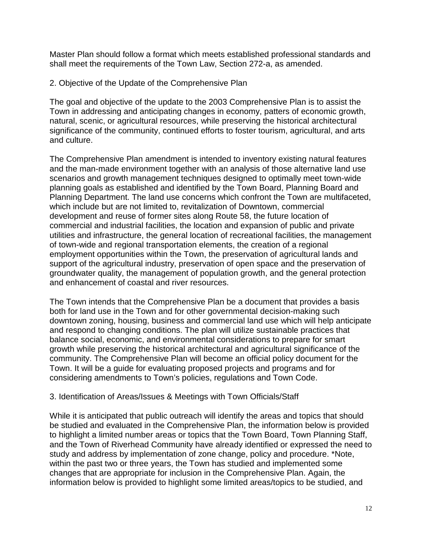Master Plan should follow a format which meets established professional standards and shall meet the requirements of the Town Law, Section 272-a, as amended.

2. Objective of the Update of the Comprehensive Plan

The goal and objective of the update to the 2003 Comprehensive Plan is to assist the Town in addressing and anticipating changes in economy, patters of economic growth, natural, scenic, or agricultural resources, while preserving the historical architectural significance of the community, continued efforts to foster tourism, agricultural, and arts and culture.

The Comprehensive Plan amendment is intended to inventory existing natural features and the man-made environment together with an analysis of those alternative land use scenarios and growth management techniques designed to optimally meet town-wide planning goals as established and identified by the Town Board, Planning Board and Planning Department. The land use concerns which confront the Town are multifaceted, which include but are not limited to, revitalization of Downtown, commercial development and reuse of former sites along Route 58, the future location of commercial and industrial facilities, the location and expansion of public and private utilities and infrastructure, the general location of recreational facilities, the management of town-wide and regional transportation elements, the creation of a regional employment opportunities within the Town, the preservation of agricultural lands and support of the agricultural industry, preservation of open space and the preservation of groundwater quality, the management of population growth, and the general protection and enhancement of coastal and river resources.

The Town intends that the Comprehensive Plan be a document that provides a basis both for land use in the Town and for other governmental decision-making such downtown zoning, housing, business and commercial land use which will help anticipate and respond to changing conditions. The plan will utilize sustainable practices that balance social, economic, and environmental considerations to prepare for smart growth while preserving the historical architectural and agricultural significance of the community. The Comprehensive Plan will become an official policy document for the Town. It will be a guide for evaluating proposed projects and programs and for considering amendments to Town's policies, regulations and Town Code.

## 3. Identification of Areas/Issues & Meetings with Town Officials/Staff

While it is anticipated that public outreach will identify the areas and topics that should be studied and evaluated in the Comprehensive Plan, the information below is provided to highlight a limited number areas or topics that the Town Board, Town Planning Staff, and the Town of Riverhead Community have already identified or expressed the need to study and address by implementation of zone change, policy and procedure. \*Note, within the past two or three years, the Town has studied and implemented some changes that are appropriate for inclusion in the Comprehensive Plan. Again, the information below is provided to highlight some limited areas/topics to be studied, and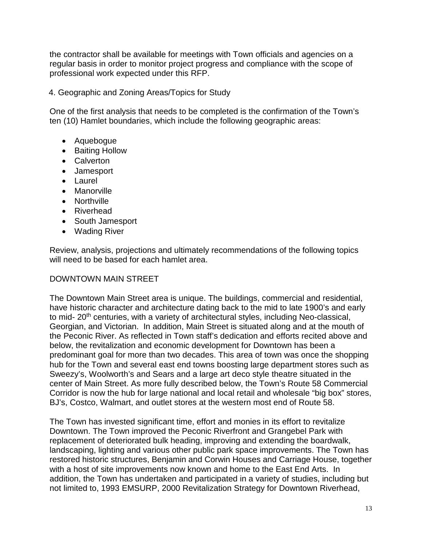the contractor shall be available for meetings with Town officials and agencies on a regular basis in order to monitor project progress and compliance with the scope of professional work expected under this RFP.

4. Geographic and Zoning Areas/Topics for Study

One of the first analysis that needs to be completed is the confirmation of the Town's ten (10) Hamlet boundaries, which include the following geographic areas:

- Aquebogue
- Baiting Hollow
- Calverton
- Jamesport
- Laurel
- Manorville
- Northville
- Riverhead
- South Jamesport
- Wading River

Review, analysis, projections and ultimately recommendations of the following topics will need to be based for each hamlet area.

## DOWNTOWN MAIN STREET

The Downtown Main Street area is unique. The buildings, commercial and residential, have historic character and architecture dating back to the mid to late 1900's and early to mid- 20<sup>th</sup> centuries, with a variety of architectural styles, including Neo-classical, Georgian, and Victorian. In addition, Main Street is situated along and at the mouth of the Peconic River. As reflected in Town staff's dedication and efforts recited above and below, the revitalization and economic development for Downtown has been a predominant goal for more than two decades. This area of town was once the shopping hub for the Town and several east end towns boosting large department stores such as Sweezy's, Woolworth's and Sears and a large art deco style theatre situated in the center of Main Street. As more fully described below, the Town's Route 58 Commercial Corridor is now the hub for large national and local retail and wholesale "big box" stores, BJ's, Costco, Walmart, and outlet stores at the western most end of Route 58.

The Town has invested significant time, effort and monies in its effort to revitalize Downtown. The Town improved the Peconic Riverfront and Grangebel Park with replacement of deteriorated bulk heading, improving and extending the boardwalk, landscaping, lighting and various other public park space improvements. The Town has restored historic structures, Benjamin and Corwin Houses and Carriage House, together with a host of site improvements now known and home to the East End Arts. In addition, the Town has undertaken and participated in a variety of studies, including but not limited to, 1993 EMSURP, 2000 Revitalization Strategy for Downtown Riverhead,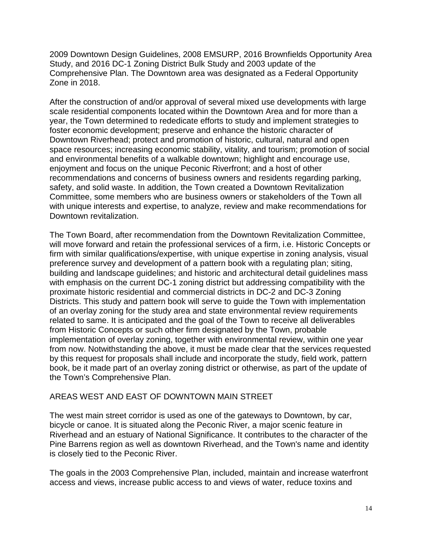2009 Downtown Design Guidelines, 2008 EMSURP, 2016 Brownfields Opportunity Area Study, and 2016 DC-1 Zoning District Bulk Study and 2003 update of the Comprehensive Plan. The Downtown area was designated as a Federal Opportunity Zone in 2018.

After the construction of and/or approval of several mixed use developments with large scale residential components located within the Downtown Area and for more than a year, the Town determined to rededicate efforts to study and implement strategies to foster economic development; preserve and enhance the historic character of Downtown Riverhead; protect and promotion of historic, cultural, natural and open space resources; increasing economic stability, vitality, and tourism; promotion of social and environmental benefits of a walkable downtown; highlight and encourage use, enjoyment and focus on the unique Peconic Riverfront; and a host of other recommendations and concerns of business owners and residents regarding parking, safety, and solid waste. In addition, the Town created a Downtown Revitalization Committee, some members who are business owners or stakeholders of the Town all with unique interests and expertise, to analyze, review and make recommendations for Downtown revitalization.

The Town Board, after recommendation from the Downtown Revitalization Committee, will move forward and retain the professional services of a firm, i.e. Historic Concepts or firm with similar qualifications/expertise, with unique expertise in zoning analysis, visual preference survey and development of a pattern book with a regulating plan; siting, building and landscape guidelines; and historic and architectural detail guidelines mass with emphasis on the current DC-1 zoning district but addressing compatibility with the proximate historic residential and commercial districts in DC-2 and DC-3 Zoning Districts. This study and pattern book will serve to guide the Town with implementation of an overlay zoning for the study area and state environmental review requirements related to same. It is anticipated and the goal of the Town to receive all deliverables from Historic Concepts or such other firm designated by the Town, probable implementation of overlay zoning, together with environmental review, within one year from now. Notwithstanding the above, it must be made clear that the services requested by this request for proposals shall include and incorporate the study, field work, pattern book, be it made part of an overlay zoning district or otherwise, as part of the update of the Town's Comprehensive Plan.

## AREAS WEST AND EAST OF DOWNTOWN MAIN STREET

The west main street corridor is used as one of the gateways to Downtown, by car, bicycle or canoe. It is situated along the Peconic River, a major scenic feature in Riverhead and an estuary of National Significance. It contributes to the character of the Pine Barrens region as well as downtown Riverhead, and the Town's name and identity is closely tied to the Peconic River.

The goals in the 2003 Comprehensive Plan, included, maintain and increase waterfront access and views, increase public access to and views of water, reduce toxins and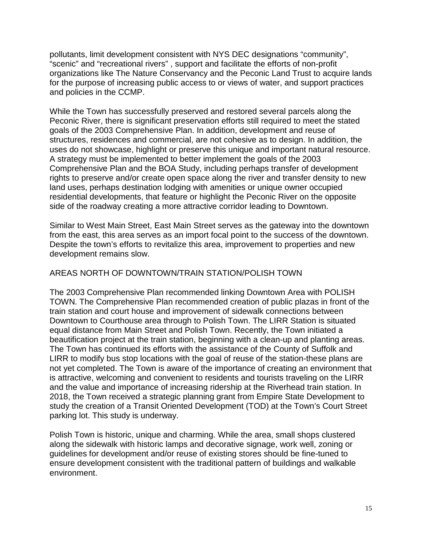pollutants, limit development consistent with NYS DEC designations "community", "scenic" and "recreational rivers" , support and facilitate the efforts of non-profit organizations like The Nature Conservancy and the Peconic Land Trust to acquire lands for the purpose of increasing public access to or views of water, and support practices and policies in the CCMP.

While the Town has successfully preserved and restored several parcels along the Peconic River, there is significant preservation efforts still required to meet the stated goals of the 2003 Comprehensive Plan. In addition, development and reuse of structures, residences and commercial, are not cohesive as to design. In addition, the uses do not showcase, highlight or preserve this unique and important natural resource. A strategy must be implemented to better implement the goals of the 2003 Comprehensive Plan and the BOA Study, including perhaps transfer of development rights to preserve and/or create open space along the river and transfer density to new land uses, perhaps destination lodging with amenities or unique owner occupied residential developments, that feature or highlight the Peconic River on the opposite side of the roadway creating a more attractive corridor leading to Downtown.

Similar to West Main Street, East Main Street serves as the gateway into the downtown from the east, this area serves as an import focal point to the success of the downtown. Despite the town's efforts to revitalize this area, improvement to properties and new development remains slow.

## AREAS NORTH OF DOWNTOWN/TRAIN STATION/POLISH TOWN

The 2003 Comprehensive Plan recommended linking Downtown Area with POLISH TOWN. The Comprehensive Plan recommended creation of public plazas in front of the train station and court house and improvement of sidewalk connections between Downtown to Courthouse area through to Polish Town. The LIRR Station is situated equal distance from Main Street and Polish Town. Recently, the Town initiated a beautification project at the train station, beginning with a clean-up and planting areas. The Town has continued its efforts with the assistance of the County of Suffolk and LIRR to modify bus stop locations with the goal of reuse of the station-these plans are not yet completed. The Town is aware of the importance of creating an environment that is attractive, welcoming and convenient to residents and tourists traveling on the LIRR and the value and importance of increasing ridership at the Riverhead train station. In 2018, the Town received a strategic planning grant from Empire State Development to study the creation of a Transit Oriented Development (TOD) at the Town's Court Street parking lot. This study is underway.

Polish Town is historic, unique and charming. While the area, small shops clustered along the sidewalk with historic lamps and decorative signage, work well, zoning or guidelines for development and/or reuse of existing stores should be fine-tuned to ensure development consistent with the traditional pattern of buildings and walkable environment.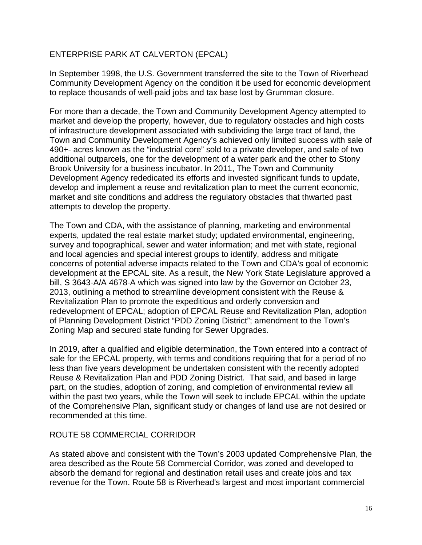## ENTERPRISE PARK AT CALVERTON (EPCAL)

In September 1998, the U.S. Government transferred the site to the Town of Riverhead Community Development Agency on the condition it be used for economic development to replace thousands of well-paid jobs and tax base lost by Grumman closure.

For more than a decade, the Town and Community Development Agency attempted to market and develop the property, however, due to regulatory obstacles and high costs of infrastructure development associated with subdividing the large tract of land, the Town and Community Development Agency's achieved only limited success with sale of 490+- acres known as the "industrial core" sold to a private developer, and sale of two additional outparcels, one for the development of a water park and the other to Stony Brook University for a business incubator. In 2011, The Town and Community Development Agency rededicated its efforts and invested significant funds to update, develop and implement a reuse and revitalization plan to meet the current economic, market and site conditions and address the regulatory obstacles that thwarted past attempts to develop the property.

The Town and CDA, with the assistance of planning, marketing and environmental experts, updated the real estate market study; updated environmental, engineering, survey and topographical, sewer and water information; and met with state, regional and local agencies and special interest groups to identify, address and mitigate concerns of potential adverse impacts related to the Town and CDA's goal of economic development at the EPCAL site. As a result, the New York State Legislature approved a bill, S 3643-A/A 4678-A which was signed into law by the Governor on October 23, 2013, outlining a method to streamline development consistent with the Reuse & Revitalization Plan to promote the expeditious and orderly conversion and redevelopment of EPCAL; adoption of EPCAL Reuse and Revitalization Plan, adoption of Planning Development District "PDD Zoning District"; amendment to the Town's Zoning Map and secured state funding for Sewer Upgrades.

In 2019, after a qualified and eligible determination, the Town entered into a contract of sale for the EPCAL property, with terms and conditions requiring that for a period of no less than five years development be undertaken consistent with the recently adopted Reuse & Revitalization Plan and PDD Zoning District. That said, and based in large part, on the studies, adoption of zoning, and completion of environmental review all within the past two years, while the Town will seek to include EPCAL within the update of the Comprehensive Plan, significant study or changes of land use are not desired or recommended at this time.

## ROUTE 58 COMMERCIAL CORRIDOR

As stated above and consistent with the Town's 2003 updated Comprehensive Plan, the area described as the Route 58 Commercial Corridor, was zoned and developed to absorb the demand for regional and destination retail uses and create jobs and tax revenue for the Town. Route 58 is Riverhead's largest and most important commercial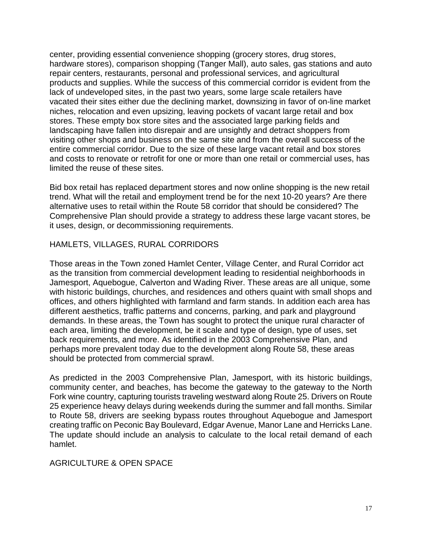center, providing essential convenience shopping (grocery stores, drug stores, hardware stores), comparison shopping (Tanger Mall), auto sales, gas stations and auto repair centers, restaurants, personal and professional services, and agricultural products and supplies. While the success of this commercial corridor is evident from the lack of undeveloped sites, in the past two years, some large scale retailers have vacated their sites either due the declining market, downsizing in favor of on-line market niches, relocation and even upsizing, leaving pockets of vacant large retail and box stores. These empty box store sites and the associated large parking fields and landscaping have fallen into disrepair and are unsightly and detract shoppers from visiting other shops and business on the same site and from the overall success of the entire commercial corridor. Due to the size of these large vacant retail and box stores and costs to renovate or retrofit for one or more than one retail or commercial uses, has limited the reuse of these sites.

Bid box retail has replaced department stores and now online shopping is the new retail trend. What will the retail and employment trend be for the next 10-20 years? Are there alternative uses to retail within the Route 58 corridor that should be considered? The Comprehensive Plan should provide a strategy to address these large vacant stores, be it uses, design, or decommissioning requirements.

## HAMLETS, VILLAGES, RURAL CORRIDORS

Those areas in the Town zoned Hamlet Center, Village Center, and Rural Corridor act as the transition from commercial development leading to residential neighborhoods in Jamesport, Aquebogue, Calverton and Wading River. These areas are all unique, some with historic buildings, churches, and residences and others quaint with small shops and offices, and others highlighted with farmland and farm stands. In addition each area has different aesthetics, traffic patterns and concerns, parking, and park and playground demands. In these areas, the Town has sought to protect the unique rural character of each area, limiting the development, be it scale and type of design, type of uses, set back requirements, and more. As identified in the 2003 Comprehensive Plan, and perhaps more prevalent today due to the development along Route 58, these areas should be protected from commercial sprawl.

As predicted in the 2003 Comprehensive Plan, Jamesport, with its historic buildings, community center, and beaches, has become the gateway to the gateway to the North Fork wine country, capturing tourists traveling westward along Route 25. Drivers on Route 25 experience heavy delays during weekends during the summer and fall months. Similar to Route 58, drivers are seeking bypass routes throughout Aquebogue and Jamesport creating traffic on Peconic Bay Boulevard, Edgar Avenue, Manor Lane and Herricks Lane. The update should include an analysis to calculate to the local retail demand of each hamlet.

## AGRICULTURE & OPEN SPACE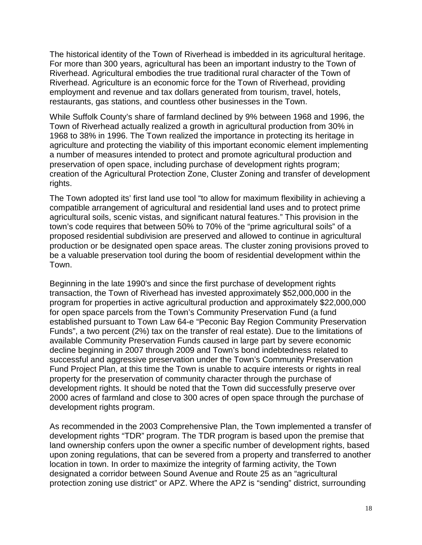The historical identity of the Town of Riverhead is imbedded in its agricultural heritage. For more than 300 years, agricultural has been an important industry to the Town of Riverhead. Agricultural embodies the true traditional rural character of the Town of Riverhead. Agriculture is an economic force for the Town of Riverhead, providing employment and revenue and tax dollars generated from tourism, travel, hotels, restaurants, gas stations, and countless other businesses in the Town.

While Suffolk County's share of farmland declined by 9% between 1968 and 1996, the Town of Riverhead actually realized a growth in agricultural production from 30% in 1968 to 38% in 1996. The Town realized the importance in protecting its heritage in agriculture and protecting the viability of this important economic element implementing a number of measures intended to protect and promote agricultural production and preservation of open space, including purchase of development rights program; creation of the Agricultural Protection Zone, Cluster Zoning and transfer of development rights.

The Town adopted its' first land use tool "to allow for maximum flexibility in achieving a compatible arrangement of agricultural and residential land uses and to protect prime agricultural soils, scenic vistas, and significant natural features." This provision in the town's code requires that between 50% to 70% of the "prime agricultural soils" of a proposed residential subdivision are preserved and allowed to continue in agricultural production or be designated open space areas. The cluster zoning provisions proved to be a valuable preservation tool during the boom of residential development within the Town.

Beginning in the late 1990's and since the first purchase of development rights transaction, the Town of Riverhead has invested approximately \$52,000,000 in the program for properties in active agricultural production and approximately \$22,000,000 for open space parcels from the Town's Community Preservation Fund (a fund established pursuant to Town Law 64-e "Peconic Bay Region Community Preservation Funds", a two percent (2%) tax on the transfer of real estate). Due to the limitations of available Community Preservation Funds caused in large part by severe economic decline beginning in 2007 through 2009 and Town's bond indebtedness related to successful and aggressive preservation under the Town's Community Preservation Fund Project Plan, at this time the Town is unable to acquire interests or rights in real property for the preservation of community character through the purchase of development rights. It should be noted that the Town did successfully preserve over 2000 acres of farmland and close to 300 acres of open space through the purchase of development rights program.

As recommended in the 2003 Comprehensive Plan, the Town implemented a transfer of development rights "TDR" program. The TDR program is based upon the premise that land ownership confers upon the owner a specific number of development rights, based upon zoning regulations, that can be severed from a property and transferred to another location in town. In order to maximize the integrity of farming activity, the Town designated a corridor between Sound Avenue and Route 25 as an "agricultural protection zoning use district" or APZ. Where the APZ is "sending" district, surrounding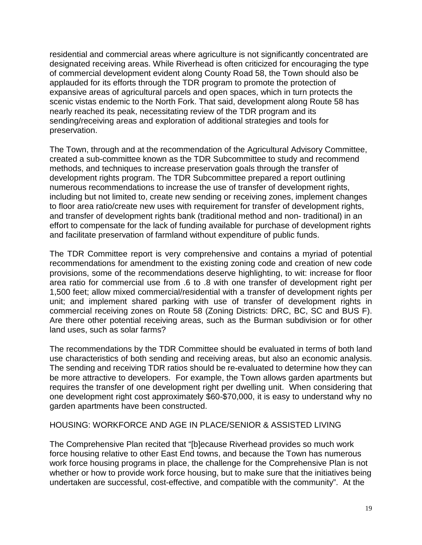residential and commercial areas where agriculture is not significantly concentrated are designated receiving areas. While Riverhead is often criticized for encouraging the type of commercial development evident along County Road 58, the Town should also be applauded for its efforts through the TDR program to promote the protection of expansive areas of agricultural parcels and open spaces, which in turn protects the scenic vistas endemic to the North Fork. That said, development along Route 58 has nearly reached its peak, necessitating review of the TDR program and its sending/receiving areas and exploration of additional strategies and tools for preservation.

The Town, through and at the recommendation of the Agricultural Advisory Committee, created a sub-committee known as the TDR Subcommittee to study and recommend methods, and techniques to increase preservation goals through the transfer of development rights program. The TDR Subcommittee prepared a report outlining numerous recommendations to increase the use of transfer of development rights, including but not limited to, create new sending or receiving zones, implement changes to floor area ratio/create new uses with requirement for transfer of development rights, and transfer of development rights bank (traditional method and non- traditional) in an effort to compensate for the lack of funding available for purchase of development rights and facilitate preservation of farmland without expenditure of public funds.

The TDR Committee report is very comprehensive and contains a myriad of potential recommendations for amendment to the existing zoning code and creation of new code provisions, some of the recommendations deserve highlighting, to wit: increase for floor area ratio for commercial use from .6 to .8 with one transfer of development right per 1,500 feet; allow mixed commercial/residential with a transfer of development rights per unit; and implement shared parking with use of transfer of development rights in commercial receiving zones on Route 58 (Zoning Districts: DRC, BC, SC and BUS F). Are there other potential receiving areas, such as the Burman subdivision or for other land uses, such as solar farms?

The recommendations by the TDR Committee should be evaluated in terms of both land use characteristics of both sending and receiving areas, but also an economic analysis. The sending and receiving TDR ratios should be re-evaluated to determine how they can be more attractive to developers. For example, the Town allows garden apartments but requires the transfer of one development right per dwelling unit. When considering that one development right cost approximately \$60-\$70,000, it is easy to understand why no garden apartments have been constructed.

## HOUSING: WORKFORCE AND AGE IN PLACE/SENIOR & ASSISTED LIVING

The Comprehensive Plan recited that "[b]ecause Riverhead provides so much work force housing relative to other East End towns, and because the Town has numerous work force housing programs in place, the challenge for the Comprehensive Plan is not whether or how to provide work force housing, but to make sure that the initiatives being undertaken are successful, cost-effective, and compatible with the community". At the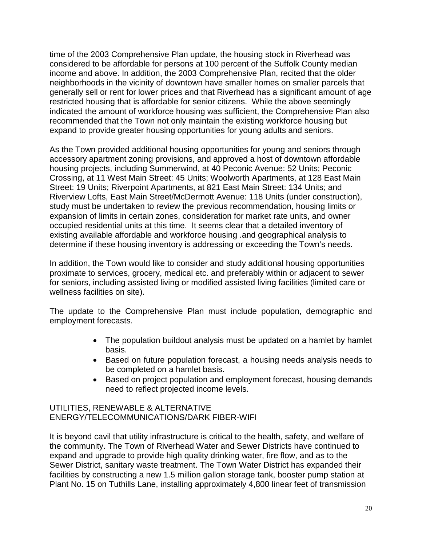time of the 2003 Comprehensive Plan update, the housing stock in Riverhead was considered to be affordable for persons at 100 percent of the Suffolk County median income and above. In addition, the 2003 Comprehensive Plan, recited that the older neighborhoods in the vicinity of downtown have smaller homes on smaller parcels that generally sell or rent for lower prices and that Riverhead has a significant amount of age restricted housing that is affordable for senior citizens. While the above seemingly indicated the amount of workforce housing was sufficient, the Comprehensive Plan also recommended that the Town not only maintain the existing workforce housing but expand to provide greater housing opportunities for young adults and seniors.

As the Town provided additional housing opportunities for young and seniors through accessory apartment zoning provisions, and approved a host of downtown affordable housing projects, including Summerwind, at 40 Peconic Avenue: 52 Units; Peconic Crossing, at 11 West Main Street: 45 Units; Woolworth Apartments, at 128 East Main Street: 19 Units; Riverpoint Apartments, at 821 East Main Street: 134 Units; and Riverview Lofts, East Main Street/McDermott Avenue: 118 Units (under construction), study must be undertaken to review the previous recommendation, housing limits or expansion of limits in certain zones, consideration for market rate units, and owner occupied residential units at this time. It seems clear that a detailed inventory of existing available affordable and workforce housing .and geographical analysis to determine if these housing inventory is addressing or exceeding the Town's needs.

In addition, the Town would like to consider and study additional housing opportunities proximate to services, grocery, medical etc. and preferably within or adjacent to sewer for seniors, including assisted living or modified assisted living facilities (limited care or wellness facilities on site).

The update to the Comprehensive Plan must include population, demographic and employment forecasts.

- The population buildout analysis must be updated on a hamlet by hamlet basis.
- Based on future population forecast, a housing needs analysis needs to be completed on a hamlet basis.
- Based on project population and employment forecast, housing demands need to reflect projected income levels.

## UTILITIES, RENEWABLE & ALTERNATIVE ENERGY/TELECOMMUNICATIONS/DARK FIBER-WIFI

It is beyond cavil that utility infrastructure is critical to the health, safety, and welfare of the community. The Town of Riverhead Water and Sewer Districts have continued to expand and upgrade to provide high quality drinking water, fire flow, and as to the Sewer District, sanitary waste treatment. The Town Water District has expanded their facilities by constructing a new 1.5 million gallon storage tank, booster pump station at Plant No. 15 on Tuthills Lane, installing approximately 4,800 linear feet of transmission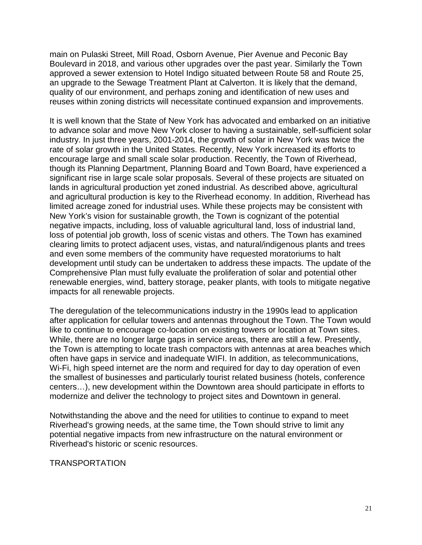main on Pulaski Street, Mill Road, Osborn Avenue, Pier Avenue and Peconic Bay Boulevard in 2018, and various other upgrades over the past year. Similarly the Town approved a sewer extension to Hotel Indigo situated between Route 58 and Route 25, an upgrade to the Sewage Treatment Plant at Calverton. It is likely that the demand, quality of our environment, and perhaps zoning and identification of new uses and reuses within zoning districts will necessitate continued expansion and improvements.

It is well known that the State of New York has advocated and embarked on an initiative to advance solar and move New York closer to having a sustainable, self-sufficient solar industry. In just three years, 2001-2014, the growth of solar in New York was twice the rate of solar growth in the United States. Recently, New York increased its efforts to encourage large and small scale solar production. Recently, the Town of Riverhead, though its Planning Department, Planning Board and Town Board, have experienced a significant rise in large scale solar proposals. Several of these projects are situated on lands in agricultural production yet zoned industrial. As described above, agricultural and agricultural production is key to the Riverhead economy. In addition, Riverhead has limited acreage zoned for industrial uses. While these projects may be consistent with New York's vision for sustainable growth, the Town is cognizant of the potential negative impacts, including, loss of valuable agricultural land, loss of industrial land, loss of potential job growth, loss of scenic vistas and others. The Town has examined clearing limits to protect adjacent uses, vistas, and natural/indigenous plants and trees and even some members of the community have requested moratoriums to halt development until study can be undertaken to address these impacts. The update of the Comprehensive Plan must fully evaluate the proliferation of solar and potential other renewable energies, wind, battery storage, peaker plants, with tools to mitigate negative impacts for all renewable projects.

The deregulation of the telecommunications industry in the 1990s lead to application after application for cellular towers and antennas throughout the Town. The Town would like to continue to encourage co-location on existing towers or location at Town sites. While, there are no longer large gaps in service areas, there are still a few. Presently, the Town is attempting to locate trash compactors with antennas at area beaches which often have gaps in service and inadequate WIFI. In addition, as telecommunications, Wi-Fi, high speed internet are the norm and required for day to day operation of even the smallest of businesses and particularly tourist related business (hotels, conference centers…), new development within the Downtown area should participate in efforts to modernize and deliver the technology to project sites and Downtown in general.

Notwithstanding the above and the need for utilities to continue to expand to meet Riverhead's growing needs, at the same time, the Town should strive to limit any potential negative impacts from new infrastructure on the natural environment or Riverhead's historic or scenic resources.

#### TRANSPORTATION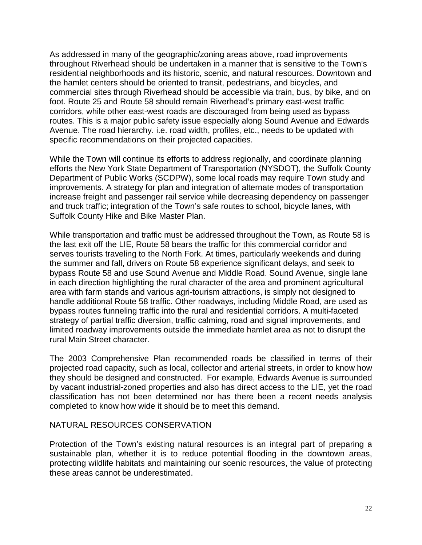As addressed in many of the geographic/zoning areas above, road improvements throughout Riverhead should be undertaken in a manner that is sensitive to the Town's residential neighborhoods and its historic, scenic, and natural resources. Downtown and the hamlet centers should be oriented to transit, pedestrians, and bicycles, and commercial sites through Riverhead should be accessible via train, bus, by bike, and on foot. Route 25 and Route 58 should remain Riverhead's primary east-west traffic corridors, while other east-west roads are discouraged from being used as bypass routes. This is a major public safety issue especially along Sound Avenue and Edwards Avenue. The road hierarchy. i.e. road width, profiles, etc., needs to be updated with specific recommendations on their projected capacities.

While the Town will continue its efforts to address regionally, and coordinate planning efforts the New York State Department of Transportation (NYSDOT), the Suffolk County Department of Public Works (SCDPW), some local roads may require Town study and improvements. A strategy for plan and integration of alternate modes of transportation increase freight and passenger rail service while decreasing dependency on passenger and truck traffic; integration of the Town's safe routes to school, bicycle lanes, with Suffolk County Hike and Bike Master Plan.

While transportation and traffic must be addressed throughout the Town, as Route 58 is the last exit off the LIE, Route 58 bears the traffic for this commercial corridor and serves tourists traveling to the North Fork. At times, particularly weekends and during the summer and fall, drivers on Route 58 experience significant delays, and seek to bypass Route 58 and use Sound Avenue and Middle Road. Sound Avenue, single lane in each direction highlighting the rural character of the area and prominent agricultural area with farm stands and various agri-tourism attractions, is simply not designed to handle additional Route 58 traffic. Other roadways, including Middle Road, are used as bypass routes funneling traffic into the rural and residential corridors. A multi-faceted strategy of partial traffic diversion, traffic calming, road and signal improvements, and limited roadway improvements outside the immediate hamlet area as not to disrupt the rural Main Street character.

The 2003 Comprehensive Plan recommended roads be classified in terms of their projected road capacity, such as local, collector and arterial streets, in order to know how they should be designed and constructed. For example, Edwards Avenue is surrounded by vacant industrial-zoned properties and also has direct access to the LIE, yet the road classification has not been determined nor has there been a recent needs analysis completed to know how wide it should be to meet this demand.

## NATURAL RESOURCES CONSERVATION

Protection of the Town's existing natural resources is an integral part of preparing a sustainable plan, whether it is to reduce potential flooding in the downtown areas, protecting wildlife habitats and maintaining our scenic resources, the value of protecting these areas cannot be underestimated.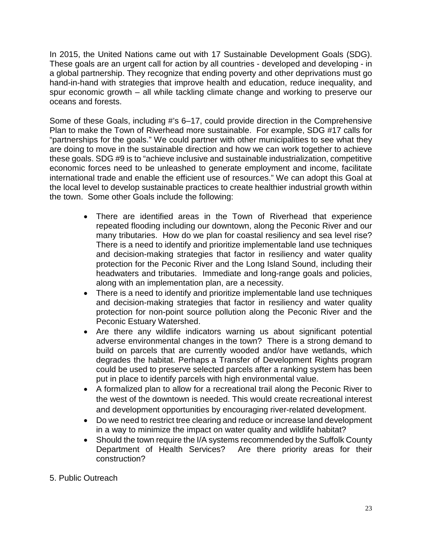In 2015, the United Nations came out with 17 Sustainable Development Goals (SDG). These goals are an urgent call for action by all countries - developed and developing - in a global partnership. They recognize that ending poverty and other deprivations must go hand-in-hand with strategies that improve health and education, reduce inequality, and spur economic growth – all while tackling climate change and working to preserve our oceans and forests.

Some of these Goals, including #'s 6–17, could provide direction in the Comprehensive Plan to make the Town of Riverhead more sustainable. For example, SDG #17 calls for "partnerships for the goals." We could partner with other municipalities to see what they are doing to move in the sustainable direction and how we can work together to achieve these goals. SDG #9 is to "achieve inclusive and sustainable industrialization, competitive economic forces need to be unleashed to generate employment and income, facilitate international trade and enable the efficient use of resources." We can adopt this Goal at the local level to develop sustainable practices to create healthier industrial growth within the town. Some other Goals include the following:

- There are identified areas in the Town of Riverhead that experience repeated flooding including our downtown, along the Peconic River and our many tributaries. How do we plan for coastal resiliency and sea level rise? There is a need to identify and prioritize implementable land use techniques and decision-making strategies that factor in resiliency and water quality protection for the Peconic River and the Long Island Sound, including their headwaters and tributaries. Immediate and long-range goals and policies, along with an implementation plan, are a necessity.
- There is a need to identify and prioritize implementable land use techniques and decision-making strategies that factor in resiliency and water quality protection for non-point source pollution along the Peconic River and the Peconic Estuary Watershed.
- Are there any wildlife indicators warning us about significant potential adverse environmental changes in the town? There is a strong demand to build on parcels that are currently wooded and/or have wetlands, which degrades the habitat. Perhaps a Transfer of Development Rights program could be used to preserve selected parcels after a ranking system has been put in place to identify parcels with high environmental value.
- A formalized plan to allow for a recreational trail along the Peconic River to the west of the downtown is needed. This would create recreational interest and development opportunities by encouraging river-related development.
- Do we need to restrict tree clearing and reduce or increase land development in a way to minimize the impact on water quality and wildlife habitat?
- Should the town require the I/A systems recommended by the Suffolk County Department of Health Services? Are there priority areas for their construction?
- 5. Public Outreach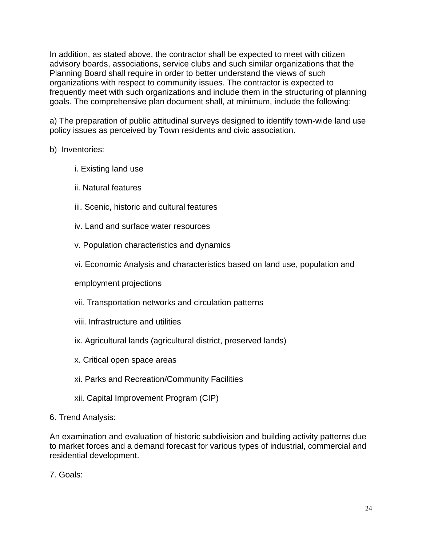In addition, as stated above, the contractor shall be expected to meet with citizen advisory boards, associations, service clubs and such similar organizations that the Planning Board shall require in order to better understand the views of such organizations with respect to community issues. The contractor is expected to frequently meet with such organizations and include them in the structuring of planning goals. The comprehensive plan document shall, at minimum, include the following:

a) The preparation of public attitudinal surveys designed to identify town-wide land use policy issues as perceived by Town residents and civic association.

## b) Inventories:

- i. Existing land use
- ii. Natural features
- iii. Scenic, historic and cultural features
- iv. Land and surface water resources
- v. Population characteristics and dynamics
- vi. Economic Analysis and characteristics based on land use, population and

employment projections

- vii. Transportation networks and circulation patterns
- viii. Infrastructure and utilities
- ix. Agricultural lands (agricultural district, preserved lands)
- x. Critical open space areas
- xi. Parks and Recreation/Community Facilities
- xii. Capital Improvement Program (CIP)
- 6. Trend Analysis:

An examination and evaluation of historic subdivision and building activity patterns due to market forces and a demand forecast for various types of industrial, commercial and residential development.

7. Goals: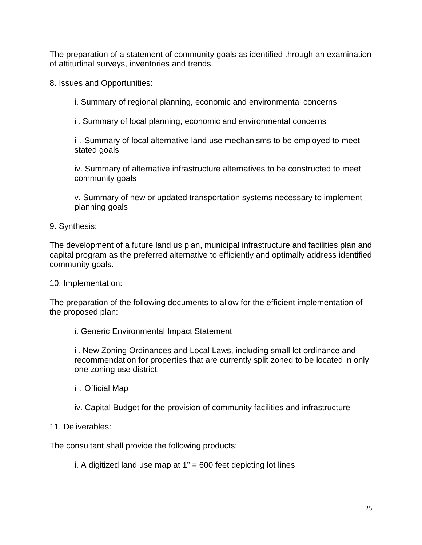The preparation of a statement of community goals as identified through an examination of attitudinal surveys, inventories and trends.

8. Issues and Opportunities:

i. Summary of regional planning, economic and environmental concerns

ii. Summary of local planning, economic and environmental concerns

iii. Summary of local alternative land use mechanisms to be employed to meet stated goals

iv. Summary of alternative infrastructure alternatives to be constructed to meet community goals

v. Summary of new or updated transportation systems necessary to implement planning goals

9. Synthesis:

The development of a future land us plan, municipal infrastructure and facilities plan and capital program as the preferred alternative to efficiently and optimally address identified community goals.

10. Implementation:

The preparation of the following documents to allow for the efficient implementation of the proposed plan:

i. Generic Environmental Impact Statement

ii. New Zoning Ordinances and Local Laws, including small lot ordinance and recommendation for properties that are currently split zoned to be located in only one zoning use district.

- iii. Official Map
- iv. Capital Budget for the provision of community facilities and infrastructure

## 11. Deliverables:

The consultant shall provide the following products:

i. A digitized land use map at  $1" = 600$  feet depicting lot lines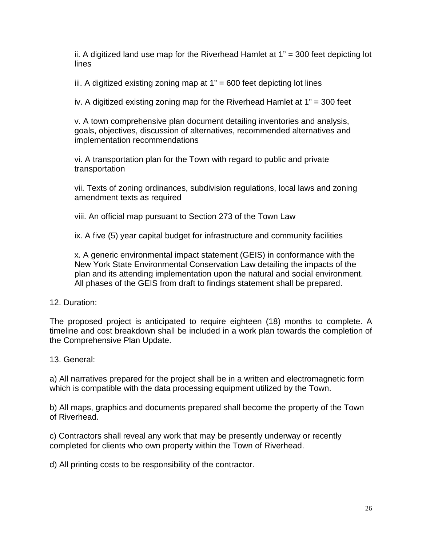ii. A digitized land use map for the Riverhead Hamlet at 1" = 300 feet depicting lot lines

iii. A digitized existing zoning map at  $1" = 600$  feet depicting lot lines

iv. A digitized existing zoning map for the Riverhead Hamlet at 1" = 300 feet

v. A town comprehensive plan document detailing inventories and analysis, goals, objectives, discussion of alternatives, recommended alternatives and implementation recommendations

vi. A transportation plan for the Town with regard to public and private transportation

vii. Texts of zoning ordinances, subdivision regulations, local laws and zoning amendment texts as required

viii. An official map pursuant to Section 273 of the Town Law

ix. A five (5) year capital budget for infrastructure and community facilities

x. A generic environmental impact statement (GEIS) in conformance with the New York State Environmental Conservation Law detailing the impacts of the plan and its attending implementation upon the natural and social environment. All phases of the GEIS from draft to findings statement shall be prepared.

## 12. Duration:

The proposed project is anticipated to require eighteen (18) months to complete. A timeline and cost breakdown shall be included in a work plan towards the completion of the Comprehensive Plan Update.

## 13. General:

a) All narratives prepared for the project shall be in a written and electromagnetic form which is compatible with the data processing equipment utilized by the Town.

b) All maps, graphics and documents prepared shall become the property of the Town of Riverhead.

c) Contractors shall reveal any work that may be presently underway or recently completed for clients who own property within the Town of Riverhead.

d) All printing costs to be responsibility of the contractor.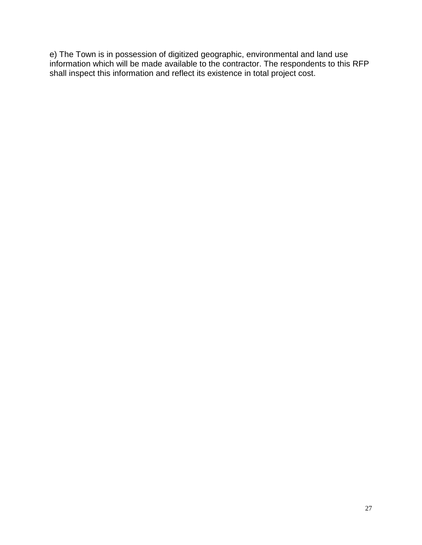e) The Town is in possession of digitized geographic, environmental and land use information which will be made available to the contractor. The respondents to this RFP shall inspect this information and reflect its existence in total project cost.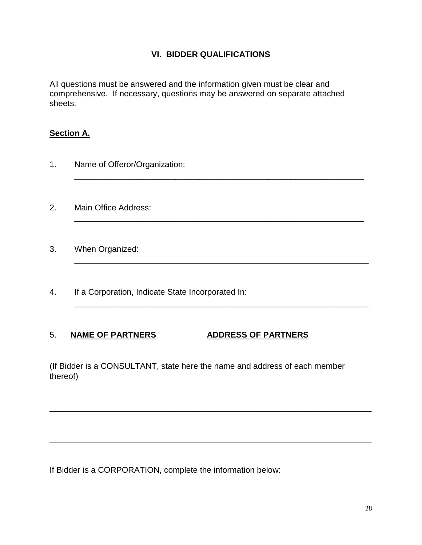## **VI. BIDDER QUALIFICATIONS**

\_\_\_\_\_\_\_\_\_\_\_\_\_\_\_\_\_\_\_\_\_\_\_\_\_\_\_\_\_\_\_\_\_\_\_\_\_\_\_\_\_\_\_\_\_\_\_\_\_\_\_\_\_\_\_\_\_\_\_\_\_\_\_

\_\_\_\_\_\_\_\_\_\_\_\_\_\_\_\_\_\_\_\_\_\_\_\_\_\_\_\_\_\_\_\_\_\_\_\_\_\_\_\_\_\_\_\_\_\_\_\_\_\_\_\_\_\_\_\_\_\_\_\_\_\_\_

\_\_\_\_\_\_\_\_\_\_\_\_\_\_\_\_\_\_\_\_\_\_\_\_\_\_\_\_\_\_\_\_\_\_\_\_\_\_\_\_\_\_\_\_\_\_\_\_\_\_\_\_\_\_\_\_\_\_\_\_\_\_\_\_

\_\_\_\_\_\_\_\_\_\_\_\_\_\_\_\_\_\_\_\_\_\_\_\_\_\_\_\_\_\_\_\_\_\_\_\_\_\_\_\_\_\_\_\_\_\_\_\_\_\_\_\_\_\_\_\_\_\_\_\_\_\_\_\_

All questions must be answered and the information given must be clear and comprehensive. If necessary, questions may be answered on separate attached sheets.

## **Section A.**

- 1. Name of Offeror/Organization:
- 2. Main Office Address:
- 3. When Organized:
- 4. If a Corporation, Indicate State Incorporated In:

## 5. **NAME OF PARTNERS ADDRESS OF PARTNERS**

(If Bidder is a CONSULTANT, state here the name and address of each member thereof)

\_\_\_\_\_\_\_\_\_\_\_\_\_\_\_\_\_\_\_\_\_\_\_\_\_\_\_\_\_\_\_\_\_\_\_\_\_\_\_\_\_\_\_\_\_\_\_\_\_\_\_\_\_\_\_\_\_\_\_\_\_\_\_\_\_\_\_\_\_\_

\_\_\_\_\_\_\_\_\_\_\_\_\_\_\_\_\_\_\_\_\_\_\_\_\_\_\_\_\_\_\_\_\_\_\_\_\_\_\_\_\_\_\_\_\_\_\_\_\_\_\_\_\_\_\_\_\_\_\_\_\_\_\_\_\_\_\_\_\_\_

If Bidder is a CORPORATION, complete the information below: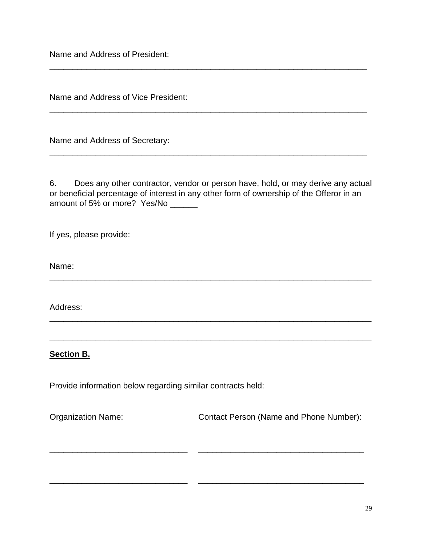Name and Address of President:

Name and Address of Vice President:

Name and Address of Secretary:

6. Does any other contractor, vendor or person have, hold, or may derive any actual or beneficial percentage of interest in any other form of ownership of the Offeror in an amount of 5% or more? Yes/No \_\_\_\_\_\_

\_\_\_\_\_\_\_\_\_\_\_\_\_\_\_\_\_\_\_\_\_\_\_\_\_\_\_\_\_\_\_\_\_\_\_\_\_\_\_\_\_\_\_\_\_\_\_\_\_\_\_\_\_\_\_\_\_\_\_\_\_\_\_\_\_\_\_\_\_\_

\_\_\_\_\_\_\_\_\_\_\_\_\_\_\_\_\_\_\_\_\_\_\_\_\_\_\_\_\_\_\_\_\_\_\_\_\_\_\_\_\_\_\_\_\_\_\_\_\_\_\_\_\_\_\_\_\_\_\_\_\_\_\_\_\_\_\_\_\_\_

\_\_\_\_\_\_\_\_\_\_\_\_\_\_\_\_\_\_\_\_\_\_\_\_\_\_\_\_\_\_\_\_\_\_\_\_\_\_\_\_\_\_\_\_\_\_\_\_\_\_\_\_\_\_\_\_\_\_\_\_\_\_\_\_\_\_\_\_\_\_

\_\_\_\_\_\_\_\_\_\_\_\_\_\_\_\_\_\_\_\_\_\_\_\_\_\_\_\_\_\_ \_\_\_\_\_\_\_\_\_\_\_\_\_\_\_\_\_\_\_\_\_\_\_\_\_\_\_\_\_\_\_\_\_\_\_\_

\_\_\_\_\_\_\_\_\_\_\_\_\_\_\_\_\_\_\_\_\_\_\_\_\_\_\_\_\_\_ \_\_\_\_\_\_\_\_\_\_\_\_\_\_\_\_\_\_\_\_\_\_\_\_\_\_\_\_\_\_\_\_\_\_\_\_

\_\_\_\_\_\_\_\_\_\_\_\_\_\_\_\_\_\_\_\_\_\_\_\_\_\_\_\_\_\_\_\_\_\_\_\_\_\_\_\_\_\_\_\_\_\_\_\_\_\_\_\_\_\_\_\_\_\_\_\_\_\_\_\_\_\_\_\_\_

\_\_\_\_\_\_\_\_\_\_\_\_\_\_\_\_\_\_\_\_\_\_\_\_\_\_\_\_\_\_\_\_\_\_\_\_\_\_\_\_\_\_\_\_\_\_\_\_\_\_\_\_\_\_\_\_\_\_\_\_\_\_\_\_\_\_\_\_\_

\_\_\_\_\_\_\_\_\_\_\_\_\_\_\_\_\_\_\_\_\_\_\_\_\_\_\_\_\_\_\_\_\_\_\_\_\_\_\_\_\_\_\_\_\_\_\_\_\_\_\_\_\_\_\_\_\_\_\_\_\_\_\_\_\_\_\_\_\_

If yes, please provide:

Name:

Address:

## **Section B.**

Provide information below regarding similar contracts held:

Organization Name: Contact Person (Name and Phone Number):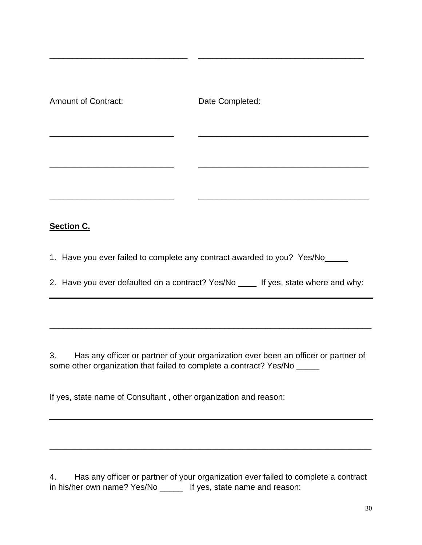| <b>Amount of Contract:</b> | Date Completed:                                                                     |
|----------------------------|-------------------------------------------------------------------------------------|
|                            |                                                                                     |
|                            |                                                                                     |
| <b>Section C.</b>          |                                                                                     |
|                            | 1. Have you ever failed to complete any contract awarded to you? Yes/No_            |
|                            | 2. Have you ever defaulted on a contract? Yes/No _____ If yes, state where and why: |
|                            |                                                                                     |
| 3.                         | Has any officer or partner of your organization ever been an officer or partner of  |

\_\_\_\_\_\_\_\_\_\_\_\_\_\_\_\_\_\_\_\_\_\_\_\_\_\_\_\_\_\_ \_\_\_\_\_\_\_\_\_\_\_\_\_\_\_\_\_\_\_\_\_\_\_\_\_\_\_\_\_\_\_\_\_\_\_\_

If yes, state name of Consultant , other organization and reason:

some other organization that failed to complete a contract? Yes/No \_\_\_\_\_

4. Has any officer or partner of your organization ever failed to complete a contract in his/her own name? Yes/No \_\_\_\_\_\_ If yes, state name and reason:

\_\_\_\_\_\_\_\_\_\_\_\_\_\_\_\_\_\_\_\_\_\_\_\_\_\_\_\_\_\_\_\_\_\_\_\_\_\_\_\_\_\_\_\_\_\_\_\_\_\_\_\_\_\_\_\_\_\_\_\_\_\_\_\_\_\_\_\_\_\_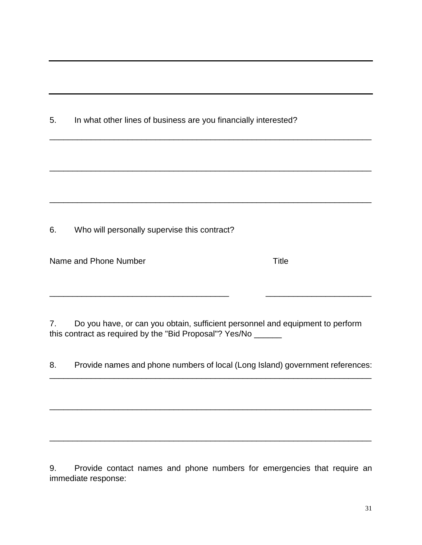| 5. |                                                                                                                                                 | In what other lines of business are you financially interested? |  |  |
|----|-------------------------------------------------------------------------------------------------------------------------------------------------|-----------------------------------------------------------------|--|--|
|    |                                                                                                                                                 |                                                                 |  |  |
|    |                                                                                                                                                 |                                                                 |  |  |
|    |                                                                                                                                                 |                                                                 |  |  |
|    |                                                                                                                                                 |                                                                 |  |  |
| 6. | Who will personally supervise this contract?                                                                                                    |                                                                 |  |  |
|    | Name and Phone Number                                                                                                                           | <b>Title</b>                                                    |  |  |
|    |                                                                                                                                                 |                                                                 |  |  |
| 7. | Do you have, or can you obtain, sufficient personnel and equipment to perform<br>this contract as required by the "Bid Proposal"? Yes/No ______ |                                                                 |  |  |
| 8. | Provide names and phone numbers of local (Long Island) government references:                                                                   |                                                                 |  |  |

9. Provide contact names and phone numbers for emergencies that require an immediate response:

\_\_\_\_\_\_\_\_\_\_\_\_\_\_\_\_\_\_\_\_\_\_\_\_\_\_\_\_\_\_\_\_\_\_\_\_\_\_\_\_\_\_\_\_\_\_\_\_\_\_\_\_\_\_\_\_\_\_\_\_\_\_\_\_\_\_\_\_\_\_

\_\_\_\_\_\_\_\_\_\_\_\_\_\_\_\_\_\_\_\_\_\_\_\_\_\_\_\_\_\_\_\_\_\_\_\_\_\_\_\_\_\_\_\_\_\_\_\_\_\_\_\_\_\_\_\_\_\_\_\_\_\_\_\_\_\_\_\_\_\_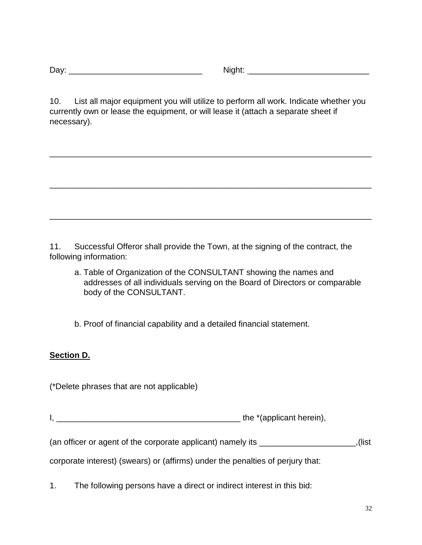Day: \_\_\_\_\_\_\_\_\_\_\_\_\_\_\_\_\_\_\_\_\_\_\_\_\_\_\_\_\_ Night: \_\_\_\_\_\_\_\_\_\_\_\_\_\_\_\_\_\_\_\_\_\_\_\_\_\_

10. List all major equipment you will utilize to perform all work. Indicate whether you currently own or lease the equipment, or will lease it (attach a separate sheet if necessary).

\_\_\_\_\_\_\_\_\_\_\_\_\_\_\_\_\_\_\_\_\_\_\_\_\_\_\_\_\_\_\_\_\_\_\_\_\_\_\_\_\_\_\_\_\_\_\_\_\_\_\_\_\_\_\_\_\_\_\_\_\_\_\_\_\_\_\_\_\_\_

\_\_\_\_\_\_\_\_\_\_\_\_\_\_\_\_\_\_\_\_\_\_\_\_\_\_\_\_\_\_\_\_\_\_\_\_\_\_\_\_\_\_\_\_\_\_\_\_\_\_\_\_\_\_\_\_\_\_\_\_\_\_\_\_\_\_\_\_\_\_

\_\_\_\_\_\_\_\_\_\_\_\_\_\_\_\_\_\_\_\_\_\_\_\_\_\_\_\_\_\_\_\_\_\_\_\_\_\_\_\_\_\_\_\_\_\_\_\_\_\_\_\_\_\_\_\_\_\_\_\_\_\_\_\_\_\_\_\_\_\_

11. Successful Offeror shall provide the Town, at the signing of the contract, the following information:

a. Table of Organization of the CONSULTANT showing the names and addresses of all individuals serving on the Board of Directors or comparable body of the CONSULTANT.

b. Proof of financial capability and a detailed financial statement.

## **Section D.**

(\*Delete phrases that are not applicable)

I, \_\_\_\_\_\_\_\_\_\_\_\_\_\_\_\_\_\_\_\_\_\_\_\_\_\_\_\_\_\_\_\_\_\_\_\_\_\_\_\_ the \*(applicant herein),

(an officer or agent of the corporate applicant) namely its \_\_\_\_\_\_\_\_\_\_\_\_\_\_\_\_\_\_\_\_\_,(list

corporate interest) (swears) or (affirms) under the penalties of perjury that:

1. The following persons have a direct or indirect interest in this bid: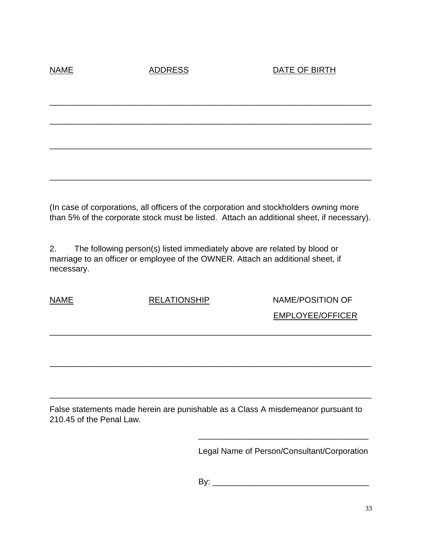NAME ADDRESS ADDRESS DATE OF BIRTH

(In case of corporations, all officers of the corporation and stockholders owning more than 5% of the corporate stock must be listed. Attach an additional sheet, if necessary).

\_\_\_\_\_\_\_\_\_\_\_\_\_\_\_\_\_\_\_\_\_\_\_\_\_\_\_\_\_\_\_\_\_\_\_\_\_\_\_\_\_\_\_\_\_\_\_\_\_\_\_\_\_\_\_\_\_\_\_\_\_\_\_\_\_\_\_\_\_\_

\_\_\_\_\_\_\_\_\_\_\_\_\_\_\_\_\_\_\_\_\_\_\_\_\_\_\_\_\_\_\_\_\_\_\_\_\_\_\_\_\_\_\_\_\_\_\_\_\_\_\_\_\_\_\_\_\_\_\_\_\_\_\_\_\_\_\_\_\_\_

\_\_\_\_\_\_\_\_\_\_\_\_\_\_\_\_\_\_\_\_\_\_\_\_\_\_\_\_\_\_\_\_\_\_\_\_\_\_\_\_\_\_\_\_\_\_\_\_\_\_\_\_\_\_\_\_\_\_\_\_\_\_\_\_\_\_\_\_\_\_

\_\_\_\_\_\_\_\_\_\_\_\_\_\_\_\_\_\_\_\_\_\_\_\_\_\_\_\_\_\_\_\_\_\_\_\_\_\_\_\_\_\_\_\_\_\_\_\_\_\_\_\_\_\_\_\_\_\_\_\_\_\_\_\_\_\_\_\_\_\_

2. The following person(s) listed immediately above are related by blood or marriage to an officer or employee of the OWNER. Attach an additional sheet, if necessary.

NAME RELATIONSHIP NAME/POSITION OF EMPLOYEE/OFFICER

False statements made herein are punishable as a Class A misdemeanor pursuant to 210.45 of the Penal Law.

\_\_\_\_\_\_\_\_\_\_\_\_\_\_\_\_\_\_\_\_\_\_\_\_\_\_\_\_\_\_\_\_\_\_\_\_\_\_\_\_\_\_\_\_\_\_\_\_\_\_\_\_\_\_\_\_\_\_\_\_\_\_\_\_\_\_\_\_\_\_

\_\_\_\_\_\_\_\_\_\_\_\_\_\_\_\_\_\_\_\_\_\_\_\_\_\_\_\_\_\_\_\_\_\_\_\_\_\_\_\_\_\_\_\_\_\_\_\_\_\_\_\_\_\_\_\_\_\_\_\_\_\_\_\_\_\_\_\_\_\_

\_\_\_\_\_\_\_\_\_\_\_\_\_\_\_\_\_\_\_\_\_\_\_\_\_\_\_\_\_\_\_\_\_\_\_\_\_\_\_\_\_\_\_\_\_\_\_\_\_\_\_\_\_\_\_\_\_\_\_\_\_\_\_\_\_\_\_\_\_\_

Legal Name of Person/Consultant/Corporation

\_\_\_\_\_\_\_\_\_\_\_\_\_\_\_\_\_\_\_\_\_\_\_\_\_\_\_\_\_\_\_\_\_\_\_\_\_

By: \_\_\_\_\_\_\_\_\_\_\_\_\_\_\_\_\_\_\_\_\_\_\_\_\_\_\_\_\_\_\_\_\_\_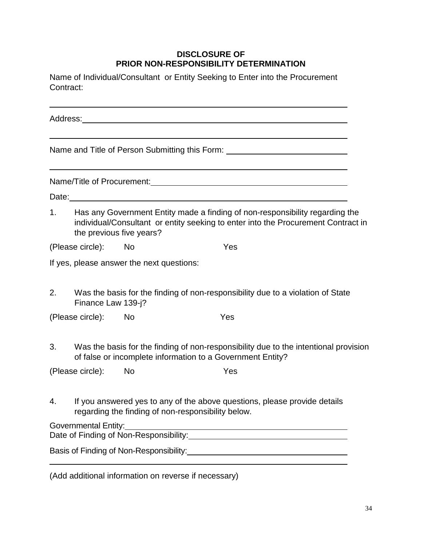## **DISCLOSURE OF PRIOR NON-RESPONSIBILITY DETERMINATION**

Name of Individual/Consultant or Entity Seeking to Enter into the Procurement Contract:

Address: Name and Title of Person Submitting this Form: Name/Title of Procurement: Name/Title of Procurement: Date: 1. Has any Government Entity made a finding of non-responsibility regarding the individual/Consultant or entity seeking to enter into the Procurement Contract in the previous five years? (Please circle): No Yes If yes, please answer the next questions: 2. Was the basis for the finding of non-responsibility due to a violation of State Finance Law 139-j? (Please circle): No Yes 3. Was the basis for the finding of non-responsibility due to the intentional provision of false or incomplete information to a Government Entity? (Please circle): No Yes 4. If you answered yes to any of the above questions, please provide details regarding the finding of non-responsibility below. Governmental Entity: Date of Finding of Non-Responsibility: Basis of Finding of Non-Responsibility:

(Add additional information on reverse if necessary)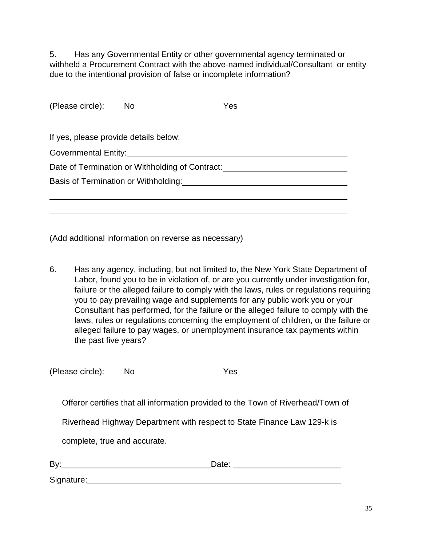5. Has any Governmental Entity or other governmental agency terminated or withheld a Procurement Contract with the above-named individual/Consultant or entity due to the intentional provision of false or incomplete information?

| (Please circle):                                | <b>No</b> | Yes |  |
|-------------------------------------------------|-----------|-----|--|
|                                                 |           |     |  |
| If yes, please provide details below:           |           |     |  |
| Governmental Entity:___________                 |           |     |  |
| Date of Termination or Withholding of Contract: |           |     |  |
| Basis of Termination or Withholding:            |           |     |  |
|                                                 |           |     |  |
|                                                 |           |     |  |
|                                                 |           |     |  |

(Add additional information on reverse as necessary)

6. Has any agency, including, but not limited to, the New York State Department of Labor, found you to be in violation of, or are you currently under investigation for, failure or the alleged failure to comply with the laws, rules or regulations requiring you to pay prevailing wage and supplements for any public work you or your Consultant has performed, for the failure or the alleged failure to comply with the laws, rules or regulations concerning the employment of children, or the failure or alleged failure to pay wages, or unemployment insurance tax payments within the past five years?

(Please circle): No Yes

Offeror certifies that all information provided to the Town of Riverhead/Town of

Riverhead Highway Department with respect to State Finance Law 129-k is

complete, true and accurate.

| By:        | Date: |  |
|------------|-------|--|
| Signature: |       |  |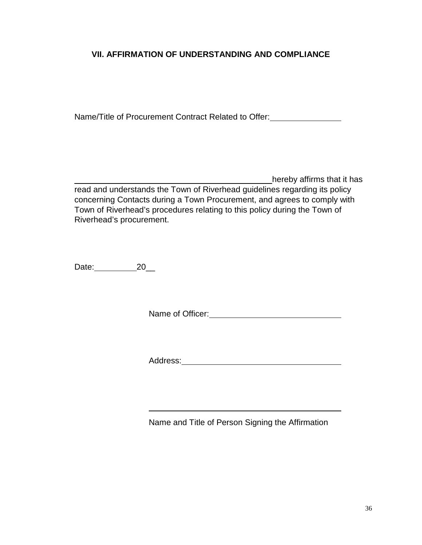## **VII. AFFIRMATION OF UNDERSTANDING AND COMPLIANCE**

Name/Title of Procurement Contract Related to Offer:

\_\_\_\_\_\_\_\_\_\_\_\_\_\_\_\_\_\_\_\_\_\_\_\_\_\_\_\_\_\_\_\_\_\_\_\_\_\_\_\_\_\_\_hereby affirms that it has read and understands the Town of Riverhead guidelines regarding its policy concerning Contacts during a Town Procurement, and agrees to comply with Town of Riverhead's procedures relating to this policy during the Town of Riverhead's procurement.

Date: 20\_\_

Name of Officer:<br>
<u>
</u>

Address: **Address: Address: Address: Address: Address: Address: Address: Address: Address: Address: Address: Address: Address: Address: Address: Address: Address: Address: Address: Add** 

Name and Title of Person Signing the Affirmation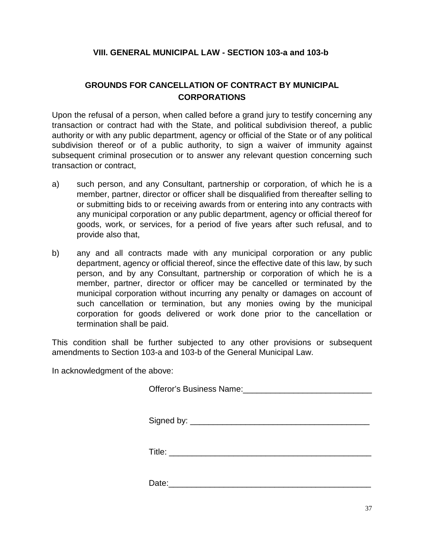## **VIII. GENERAL MUNICIPAL LAW - SECTION 103-a and 103-b**

## **GROUNDS FOR CANCELLATION OF CONTRACT BY MUNICIPAL CORPORATIONS**

Upon the refusal of a person, when called before a grand jury to testify concerning any transaction or contract had with the State, and political subdivision thereof, a public authority or with any public department, agency or official of the State or of any political subdivision thereof or of a public authority, to sign a waiver of immunity against subsequent criminal prosecution or to answer any relevant question concerning such transaction or contract,

- a) such person, and any Consultant, partnership or corporation, of which he is a member, partner, director or officer shall be disqualified from thereafter selling to or submitting bids to or receiving awards from or entering into any contracts with any municipal corporation or any public department, agency or official thereof for goods, work, or services, for a period of five years after such refusal, and to provide also that,
- b) any and all contracts made with any municipal corporation or any public department, agency or official thereof, since the effective date of this law, by such person, and by any Consultant, partnership or corporation of which he is a member, partner, director or officer may be cancelled or terminated by the municipal corporation without incurring any penalty or damages on account of such cancellation or termination, but any monies owing by the municipal corporation for goods delivered or work done prior to the cancellation or termination shall be paid.

This condition shall be further subjected to any other provisions or subsequent amendments to Section 103-a and 103-b of the General Municipal Law.

In acknowledgment of the above:

Offeror's Business Name: 2008. 2009. 2010. 2010. 2010. 2010. 2010. 2011. 2012. 2014. 2016. 2017. 2018. 2019. 20

Signed by:

Title: \_\_\_\_\_\_\_\_\_\_\_\_\_\_\_\_\_\_\_\_\_\_\_\_\_\_\_\_\_\_\_\_\_\_\_\_\_\_\_\_\_\_\_\_

Date: 2008. 2010. 2010. 2010. 2010. 2010. 2010. 2010. 2010. 2010. 2010. 2010. 2010. 2010. 2010. 2010. 2010. 20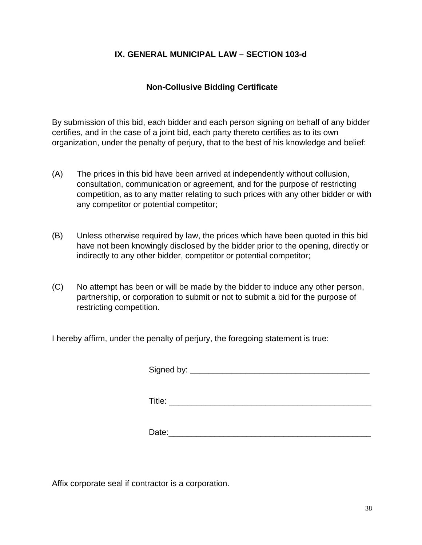## **IX. GENERAL MUNICIPAL LAW – SECTION 103-d**

## **Non-Collusive Bidding Certificate**

By submission of this bid, each bidder and each person signing on behalf of any bidder certifies, and in the case of a joint bid, each party thereto certifies as to its own organization, under the penalty of perjury, that to the best of his knowledge and belief:

- (A) The prices in this bid have been arrived at independently without collusion, consultation, communication or agreement, and for the purpose of restricting competition, as to any matter relating to such prices with any other bidder or with any competitor or potential competitor;
- (B) Unless otherwise required by law, the prices which have been quoted in this bid have not been knowingly disclosed by the bidder prior to the opening, directly or indirectly to any other bidder, competitor or potential competitor;
- (C) No attempt has been or will be made by the bidder to induce any other person, partnership, or corporation to submit or not to submit a bid for the purpose of restricting competition.

I hereby affirm, under the penalty of perjury, the foregoing statement is true:

Signed by:  $\frac{1}{2}$   $\frac{1}{2}$   $\frac{1}{2}$   $\frac{1}{2}$   $\frac{1}{2}$   $\frac{1}{2}$   $\frac{1}{2}$   $\frac{1}{2}$   $\frac{1}{2}$   $\frac{1}{2}$   $\frac{1}{2}$   $\frac{1}{2}$   $\frac{1}{2}$   $\frac{1}{2}$   $\frac{1}{2}$   $\frac{1}{2}$   $\frac{1}{2}$   $\frac{1}{2}$   $\frac{1}{2}$   $\frac{1}{2}$   $\frac{1}{2}$ 

Title: \_\_\_\_\_\_\_\_\_\_\_\_\_\_\_\_\_\_\_\_\_\_\_\_\_\_\_\_\_\_\_\_\_\_\_\_\_\_\_\_\_\_\_\_

Date:

Affix corporate seal if contractor is a corporation.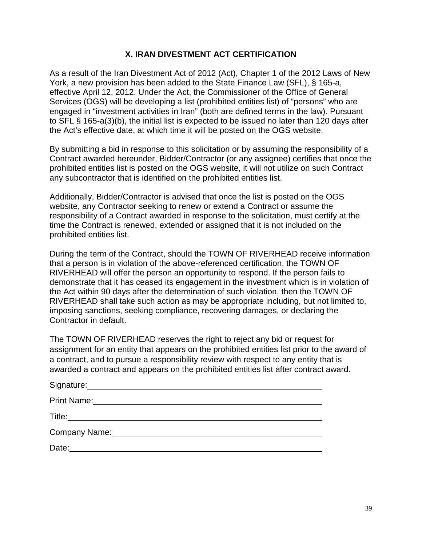## **X. IRAN DIVESTMENT ACT CERTIFICATION**

As a result of the Iran Divestment Act of 2012 (Act), Chapter 1 of the 2012 Laws of New York, a new provision has been added to the State Finance Law (SFL), § 165-a, effective April 12, 2012. Under the Act, the Commissioner of the Office of General Services (OGS) will be developing a list (prohibited entities list) of "persons" who are engaged in "investment activities in Iran" (both are defined terms in the law). Pursuant to SFL § 165-a(3)(b), the initial list is expected to be issued no later than 120 days after the Act's effective date, at which time it will be posted on the OGS website.

By submitting a bid in response to this solicitation or by assuming the responsibility of a Contract awarded hereunder, Bidder/Contractor (or any assignee) certifies that once the prohibited entities list is posted on the OGS website, it will not utilize on such Contract any subcontractor that is identified on the prohibited entities list.

Additionally, Bidder/Contractor is advised that once the list is posted on the OGS website, any Contractor seeking to renew or extend a Contract or assume the responsibility of a Contract awarded in response to the solicitation, must certify at the time the Contract is renewed, extended or assigned that it is not included on the prohibited entities list.

During the term of the Contract, should the TOWN OF RIVERHEAD receive information that a person is in violation of the above-referenced certification, the TOWN OF RIVERHEAD will offer the person an opportunity to respond. If the person fails to demonstrate that it has ceased its engagement in the investment which is in violation of the Act within 90 days after the determination of such violation, then the TOWN OF RIVERHEAD shall take such action as may be appropriate including, but not limited to, imposing sanctions, seeking compliance, recovering damages, or declaring the Contractor in default.

The TOWN OF RIVERHEAD reserves the right to reject any bid or request for assignment for an entity that appears on the prohibited entities list prior to the award of a contract, and to pursue a responsibility review with respect to any entity that is awarded a contract and appears on the prohibited entities list after contract award.

| Signature:         |  |
|--------------------|--|
| <b>Print Name:</b> |  |
| Title:             |  |
| Company Name:      |  |
| Date:              |  |
|                    |  |